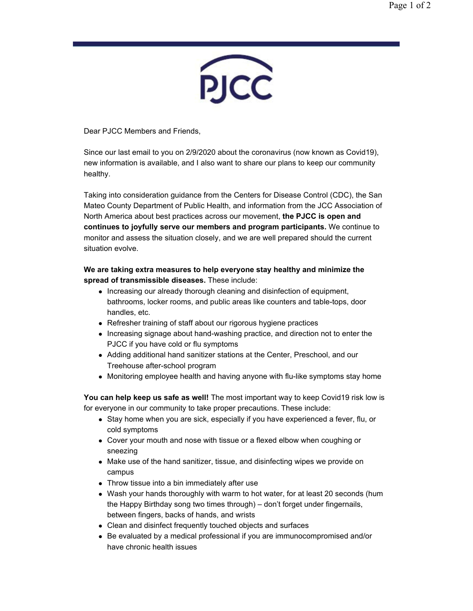

Dear PJCC Members and Friends,

Since our last email to you on 2/9/2020 about the coronavirus (now known as Covid19), new information is available, and I also want to share our plans to keep our community healthy.

Taking into consideration guidance from the Centers for Disease Control (CDC), the San Mateo County Department of Public Health, and information from the JCC Association of North America about best practices across our movement, **the PJCC is open and continues to joyfully serve our members and program participants.** We continue to monitor and assess the situation closely, and we are well prepared should the current situation evolve.

## **We are taking extra measures to help everyone stay healthy and minimize the spread of transmissible diseases.** These include:

- Increasing our already thorough cleaning and disinfection of equipment, bathrooms, locker rooms, and public areas like counters and table-tops, door handles, etc.
- Refresher training of staff about our rigorous hygiene practices
- Increasing signage about hand-washing practice, and direction not to enter the PJCC if you have cold or flu symptoms
- Adding additional hand sanitizer stations at the Center, Preschool, and our Treehouse after-school program
- Monitoring employee health and having anyone with flu-like symptoms stay home

**You can help keep us safe as well!** The most important way to keep Covid19 risk low is for everyone in our community to take proper precautions. These include:

- Stay home when you are sick, especially if you have experienced a fever, flu, or cold symptoms
- Cover your mouth and nose with tissue or a flexed elbow when coughing or sneezing
- Make use of the hand sanitizer, tissue, and disinfecting wipes we provide on campus
- Throw tissue into a bin immediately after use
- Wash your hands thoroughly with warm to hot water, for at least 20 seconds (hum the Happy Birthday song two times through) – don't forget under fingernails, between fingers, backs of hands, and wrists
- Clean and disinfect frequently touched objects and surfaces
- Be evaluated by a medical professional if you are immunocompromised and/or have chronic health issues